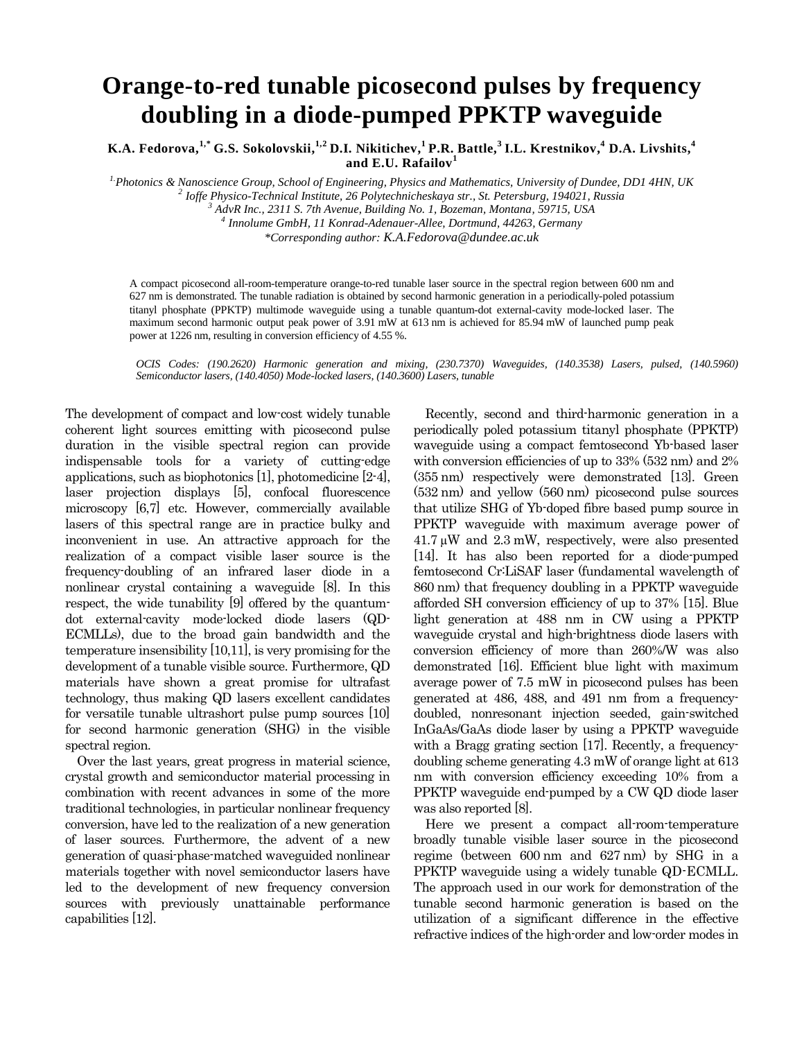## **Orange-to-red tunable picosecond pulses by frequency doubling in a diode-pumped PPKTP waveguide**

**K.A. Fedorova, 1,\* G.S. Sokolovskii, 1,2 D.I. Nikitichev, <sup>1</sup>P.R. Battle, 3 I.L. Krestnikov, <sup>4</sup> D.A. Livshits, 4 and E.U. Rafailov<sup>1</sup>**

*1.Photonics & Nanoscience Group, School of Engineering, Physics and Mathematics, University of Dundee, DD1 4HN, UK*

*2 Ioffe Physico-Technical Institute, 26 Polytechnicheskaya str., St. Petersburg, 194021, Russia*

*<sup>3</sup> AdvR Inc., 2311 S. 7th Avenue, Building No. 1, Bozeman, Montana, 59715, USA 4*

*Innolume GmbH, 11 Konrad-Adenauer-Allee, Dortmund, 44263, Germany*

*\*Corresponding author: K.A.Fedorova@dundee.ac.uk*

A compact picosecond all-room-temperature orange-to-red tunable laser source in the spectral region between 600 nm and 627 nm is demonstrated. The tunable radiation is obtained by second harmonic generation in a periodically-poled potassium titanyl phosphate (PPKTP) multimode waveguide using a tunable quantum-dot external-cavity mode-locked laser. The maximum second harmonic output peak power of 3.91 mW at 613 nm is achieved for 85.94 mW of launched pump peak power at 1226 nm, resulting in conversion efficiency of 4.55 %.

*OCIS Codes: (190.2620) Harmonic generation and mixing, (230.7370) Waveguides, (140.3538) Lasers, pulsed, (140.5960) Semiconductor lasers, (140.4050) Mode-locked lasers, (140.3600) Lasers, tunable*

The development of compact and low-cost widely tunable coherent light sources emitting with picosecond pulse duration in the visible spectral region can provide indispensable tools for a variety of cutting-edge applications, such as biophotonics [1], photomedicine [2-4], laser projection displays [5], confocal fluorescence microscopy [6,7] etc. However, commercially available lasers of this spectral range are in practice bulky and inconvenient in use. An attractive approach for the realization of a compact visible laser source is the frequency-doubling of an infrared laser diode in a nonlinear crystal containing a waveguide [8]. In this respect, the wide tunability [9] offered by the quantumdot external-cavity mode-locked diode lasers (QD-ECMLLs), due to the broad gain bandwidth and the temperature insensibility [10,11], is very promising for the development of a tunable visible source. Furthermore, QD materials have shown a great promise for ultrafast technology, thus making QD lasers excellent candidates for versatile tunable ultrashort pulse pump sources [10] for second harmonic generation (SHG) in the visible spectral region.

Over the last years, great progress in material science, crystal growth and semiconductor material processing in combination with recent advances in some of the more traditional technologies, in particular nonlinear frequency conversion, have led to the realization of a new generation of laser sources. Furthermore, the advent of a new generation of quasi-phase-matched waveguided nonlinear materials together with novel semiconductor lasers have led to the development of new frequency conversion sources with previously unattainable performance capabilities [12].

Recently, second and third-harmonic generation in a periodically poled potassium titanyl phosphate (PPKTP) waveguide using a compact femtosecond Yb-based laser with conversion efficiencies of up to 33% (532 nm) and 2% (355 nm) respectively were demonstrated [13]. Green (532 nm) and yellow (560 nm) picosecond pulse sources that utilize SHG of Yb-doped fibre based pump source in PPKTP waveguide with maximum average power of  $41.7 \mu W$  and  $2.3 \text{ mW}$ , respectively, were also presented [14]. It has also been reported for a diode-pumped femtosecond Cr:LiSAF laser (fundamental wavelength of 860 nm) that frequency doubling in a PPKTP waveguide afforded SH conversion efficiency of up to 37% [15]. Blue light generation at 488 nm in CW using a PPKTP waveguide crystal and high-brightness diode lasers with conversion efficiency of more than 260%/W was also demonstrated [16]. Efficient blue light with maximum average power of 7.5 mW in picosecond pulses has been generated at 486, 488, and 491 nm from a frequencydoubled, nonresonant injection seeded, gain-switched InGaAs/GaAs diode laser by using a PPKTP waveguide with a Bragg grating section [17]. Recently, a frequencydoubling scheme generating 4.3 mW of orange light at 613 nm with conversion efficiency exceeding 10% from a PPKTP waveguide end-pumped by a CW QD diode laser was also reported [8].

Here we present a compact all-room-temperature broadly tunable visible laser source in the picosecond regime (between 600 nm and 627 nm) by SHG in a PPKTP waveguide using a widely tunable QD-ECMLL. The approach used in our work for demonstration of the tunable second harmonic generation is based on the utilization of a significant difference in the effective refractive indices of the high-order and low-order modes in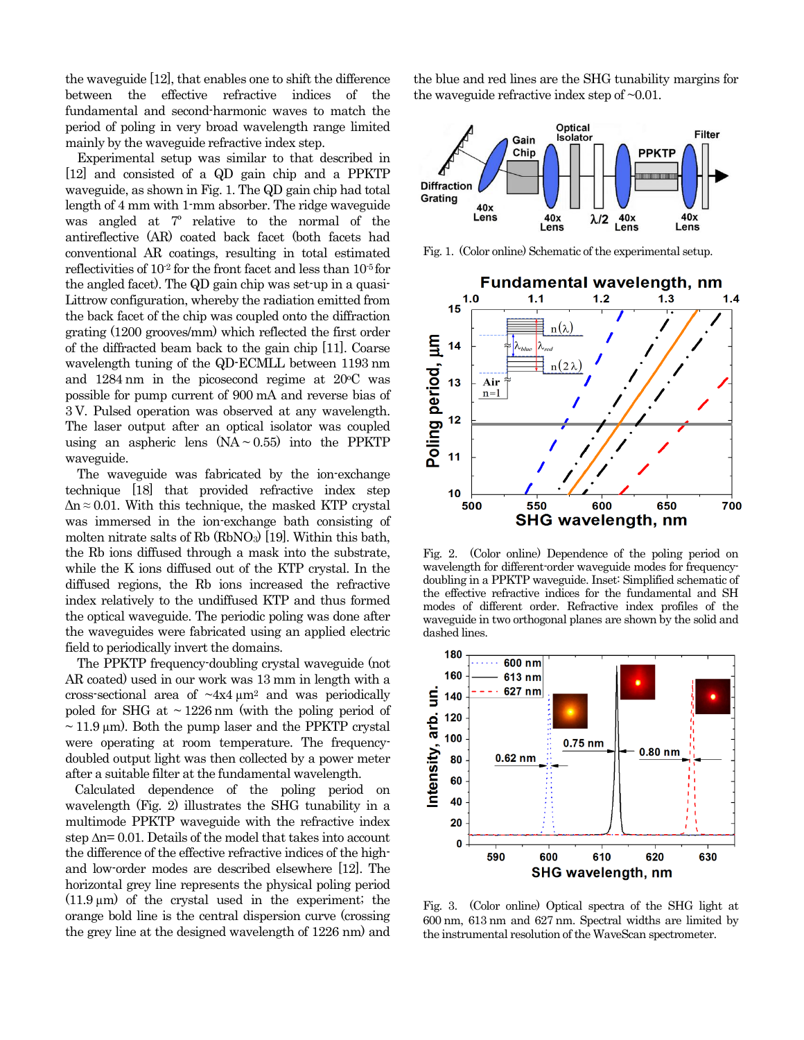the waveguide [12], that enables one to shift the difference between the effective refractive indices of the fundamental and second-harmonic waves to match the period of poling in very broad wavelength range limited mainly by the waveguide refractive index step.

Experimental setup was similar to that described in [12] and consisted of a QD gain chip and a PPKTP waveguide, as shown in Fig. 1. The QD gain chip had total length of 4 mm with 1-mm absorber. The ridge waveguide was angled at 7º relative to the normal of the antireflective (AR) coated back facet (both facets had conventional AR coatings, resulting in total estimated reflectivities of  $10<sup>2</sup>$  for the front facet and less than  $10<sup>-5</sup>$  for the angled facet). The QD gain chip was set-up in a quasi-Littrow configuration, whereby the radiation emitted from the back facet of the chip was coupled onto the diffraction grating (1200 grooves/mm) which reflected the first order of the diffracted beam back to the gain chip [11]. Coarse wavelength tuning of the QD-ECMLL between 1193 nm and  $1284 \text{ nm}$  in the picosecond regime at  $20 \text{°C}$  was possible for pump current of 900 mA and reverse bias of 3 V. Pulsed operation was observed at any wavelength. The laser output after an optical isolator was coupled using an aspheric lens  $(NA \sim 0.55)$  into the PPKTP waveguide.

The waveguide was fabricated by the ion-exchange technique [18] that provided refractive index step  $\Delta n \approx 0.01$ . With this technique, the masked KTP crystal was immersed in the ion-exchange bath consisting of molten nitrate salts of Rb (RbNO<sub>3</sub>) [19]. Within this bath, the Rb ions diffused through a mask into the substrate, while the K ions diffused out of the KTP crystal. In the diffused regions, the Rb ions increased the refractive index relatively to the undiffused KTP and thus formed the optical waveguide. The periodic poling was done after the waveguides were fabricated using an applied electric field to periodically invert the domains.

The PPKTP frequency-doubling crystal waveguide (not AR coated) used in our work was 13 mm in length with a cross-sectional area of  $\sim 4x4 \mu m^2$  and was periodically poled for SHG at  $\sim$  1226 nm (with the poling period of  $\sim$  11.9 µm). Both the pump laser and the PPKTP crystal were operating at room temperature. The frequencydoubled output light was then collected by a power meter after a suitable filter at the fundamental wavelength.

Calculated dependence of the poling period on wavelength (Fig. 2) illustrates the SHG tunability in a multimode PPKTP waveguide with the refractive index step Δn= 0.01. Details of the model that takes into account the difference of the effective refractive indices of the highand low-order modes are described elsewhere [12]. The horizontal grey line represents the physical poling period  $(11.9 \,\mu\text{m})$  of the crystal used in the experiment; the orange bold line is the central dispersion curve (crossing the grey line at the designed wavelength of 1226 nm) and the blue and red lines are the SHG tunability margins for the waveguide refractive index step of ~0.01.



Fig. 1. (Color online) Schematic of the experimental setup.



Fig. 2. (Color online) Dependence of the poling period on wavelength for different-order waveguide modes for frequencydoubling in a PPKTP waveguide. Inset: Simplified schematic of the effective refractive indices for the fundamental and SH modes of different order. Refractive index profiles of the waveguide in two orthogonal planes are shown by the solid and dashed lines.



Fig. 3. (Color online) Optical spectra of the SHG light at 600 nm, 613 nm and 627 nm. Spectral widths are limited by the instrumental resolution of the WaveScan spectrometer.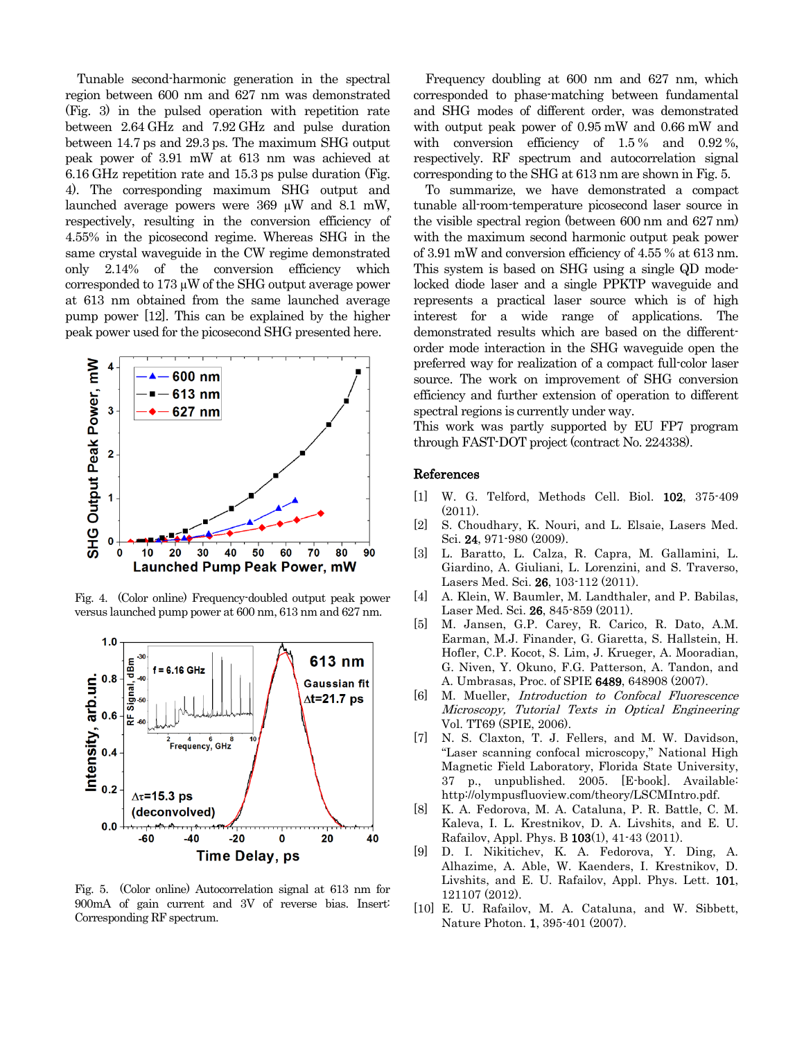Tunable second-harmonic generation in the spectral region between 600 nm and 627 nm was demonstrated (Fig. 3) in the pulsed operation with repetition rate between 2.64 GHz and 7.92 GHz and pulse duration between 14.7 ps and 29.3 ps. The maximum SHG output peak power of 3.91 mW at 613 nm was achieved at 6.16 GHz repetition rate and 15.3 ps pulse duration (Fig. 4). The corresponding maximum SHG output and launched average powers were 369 µW and 8.1 mW, respectively, resulting in the conversion efficiency of 4.55% in the picosecond regime. Whereas SHG in the same crystal waveguide in the CW regime demonstrated only 2.14% of the conversion efficiency which corresponded to 173 µW of the SHG output average power at 613 nm obtained from the same launched average pump power [12]. This can be explained by the higher peak power used for the picosecond SHG presented here.



Fig. 4. (Color online) Frequency-doubled output peak power versus launched pump power at 600 nm, 613 nm and 627 nm.



Fig. 5. (Color online) Autocorrelation signal at 613 nm for 900mA of gain current and 3V of reverse bias. Insert: Corresponding RF spectrum.

Frequency doubling at 600 nm and 627 nm, which corresponded to phase-matching between fundamental and SHG modes of different order, was demonstrated with output peak power of 0.95 mW and 0.66 mW and with conversion efficiency of 1.5% and 0.92%, respectively. RF spectrum and autocorrelation signal corresponding to the SHG at 613 nm are shown in Fig. 5.

To summarize, we have demonstrated a compact tunable all-room-temperature picosecond laser source in the visible spectral region (between 600 nm and 627 nm) with the maximum second harmonic output peak power of 3.91 mW and conversion efficiency of 4.55 % at 613 nm. This system is based on SHG using a single QD modelocked diode laser and a single PPKTP waveguide and represents a practical laser source which is of high interest for a wide range of applications. The demonstrated results which are based on the differentorder mode interaction in the SHG waveguide open the preferred way for realization of a compact full-color laser source. The work on improvement of SHG conversion efficiency and further extension of operation to different spectral regions is currently under way.

This work was partly supported by EU FP7 program through FAST-DOT project (contract No. 224338).

## References

- [1] W. G. Telford, Methods Cell. Biol. 102, 375-409 (2011).
- [2] S. Choudhary, K. Nouri, and L. Elsaie, Lasers Med. Sci. **24**, 971-980 (2009).
- [3] L. Baratto, L. Calza, R. Capra, M. Gallamini, L. Giardino, A. Giuliani, L. Lorenzini, and S. Traverso, Lasers Med. Sci. **26**, 103-112 (2011).
- [4] A. Klein, W. Baumler, M. Landthaler, and P. Babilas, Laser Med. Sci. 26, 845-859 (2011).
- [5] M. Jansen, G.P. Carey, R. Carico, R. Dato, A.M. Earman, M.J. Finander, G. Giaretta, S. Hallstein, H. Hofler, C.P. Kocot, S. Lim, J. Krueger, A. Mooradian, G. Niven, Y. Okuno, F.G. Patterson, A. Tandon, and A. Umbrasas, Proc. of SPIE 6489, 648908 (2007).
- [6] M. Mueller, Introduction to Confocal Fluorescence Microscopy, Tutorial Texts in Optical Engineering Vol. TT69 (SPIE, 2006).
- [7] N. S. Claxton, T. J. Fellers, and M. W. Davidson, "Laser scanning confocal microscopy," National High Magnetic Field Laboratory, Florida State University, 37 p., unpublished. 2005. [E-book]. Available: http://olympusfluoview.com/theory/LSCMIntro.pdf.
- [8] K. A. Fedorova, M. A. Cataluna, P. R. Battle, C. M. Kaleva, I. L. Krestnikov, D. A. Livshits, and E. U. Rafailov, Appl. Phys. B 103(1), 41-43 (2011).
- [9] D. I. Nikitichev, K. A. Fedorova, Y. Ding, A. Alhazime, A. Able, W. Kaenders, I. Krestnikov, D. Livshits, and E. U. Rafailov, [Appl.](http://apl.aip.org/) Phys. Lett. 101, 121107 (2012).
- [10] E. U. Rafailov, M. A. Cataluna, and W. Sibbett, Nature Photon. 1, 395-401 (2007).